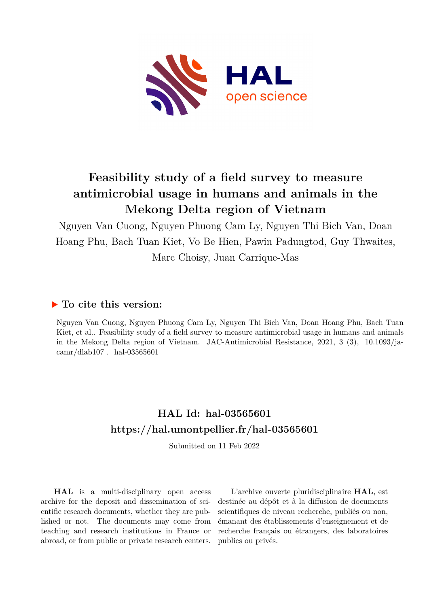

# **Feasibility study of a field survey to measure antimicrobial usage in humans and animals in the Mekong Delta region of Vietnam**

Nguyen Van Cuong, Nguyen Phuong Cam Ly, Nguyen Thi Bich Van, Doan Hoang Phu, Bach Tuan Kiet, Vo Be Hien, Pawin Padungtod, Guy Thwaites, Marc Choisy, Juan Carrique-Mas

# **To cite this version:**

Nguyen Van Cuong, Nguyen Phuong Cam Ly, Nguyen Thi Bich Van, Doan Hoang Phu, Bach Tuan Kiet, et al.. Feasibility study of a field survey to measure antimicrobial usage in humans and animals in the Mekong Delta region of Vietnam. JAC-Antimicrobial Resistance,  $2021, 3$  (3),  $10.1093/ja$ camr/dlab107. hal-03565601

# **HAL Id: hal-03565601 <https://hal.umontpellier.fr/hal-03565601>**

Submitted on 11 Feb 2022

**HAL** is a multi-disciplinary open access archive for the deposit and dissemination of scientific research documents, whether they are published or not. The documents may come from teaching and research institutions in France or abroad, or from public or private research centers.

L'archive ouverte pluridisciplinaire **HAL**, est destinée au dépôt et à la diffusion de documents scientifiques de niveau recherche, publiés ou non, émanant des établissements d'enseignement et de recherche français ou étrangers, des laboratoires publics ou privés.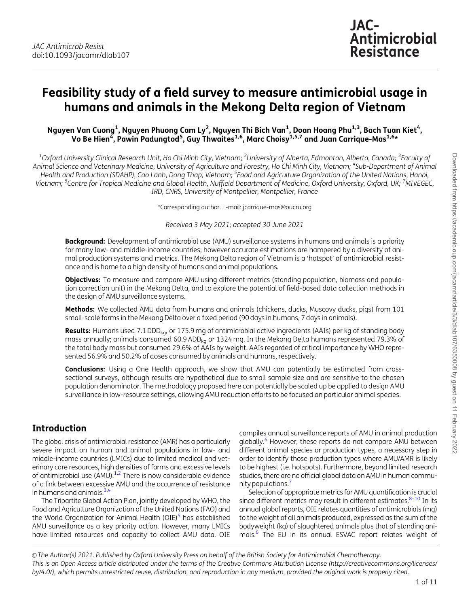# Feasibility study of a field survey to measure antimicrobial usage in humans and animals in the Mekong Delta region of Vietnam

Nguyen Van Cuong<sup>1</sup>, Nguyen Phuong Cam Ly<sup>2</sup>, Nguyen Thi Bich Van<sup>1</sup>, Doan Hoang Phu<sup>1,3</sup>, Bach Tuan Kiet<sup>4</sup>, Vo Be Hien<sup>4</sup>, Pawin Padungtod<sup>5</sup>, Guy Thwaites<sup>1,6</sup>, Marc Choisy<sup>1,5,7</sup> and Juan Carrique-Mas<sup>1,6</sup>\*

 $^{\rm 1}$ Oxford University Clinical Research Unit, Ho Chi Minh City, Vietnam;  $^{\rm 2}$ University of Alberta, Edmonton, Alberta, Canada;  $^{\rm 3}$ Faculty of Animal Science and Veterinary Medicine, University of Agriculture and Forestry, Ho Chi Minh City, Vietnam; <sup>4</sup>Sub-Department of Animal Health and Production (SDAHP), Cao Lanh, Dong Thap, Vietnam; <sup>5</sup>Food and Agriculture Organization of the United Nations, Hanoi, Vietnam; <sup>6</sup>Centre for Tropical Medicine and Global Health, Nuffield Department of Medicine, Oxford University, Oxford, UK; <sup>7</sup>MIVEGEC, IRD, CNRS, University of Montpellier, Montpellier, France

\*Corresponding author. E-mail: jcarrique-mas@oucru.org

Received 3 May 2021; accepted 30 June 2021

**Background:** Development of antimicrobial use (AMU) surveillance systems in humans and animals is a priority for many low- and middle-income countries; however accurate estimations are hampered by a diversity of animal production systems and metrics. The Mekong Delta region of Vietnam is a 'hotspot' of antimicrobial resistance and is home to a high density of humans and animal populations.

**Objectives:** To measure and compare AMU using different metrics (standing population, biomass and population correction unit) in the Mekong Delta, and to explore the potential of field-based data collection methods in the design of AMU surveillance systems.

Methods: We collected AMU data from humans and animals (chickens, ducks, Muscovy ducks, pigs) from 101 small-scale farms in the Mekong Delta over a fixed period (90 days in humans, 7 days in animals).

Results: Humans used 7.1 DDD<sub>kg</sub>, or 175.9 mg of antimicrobial active ingredients (AAIs) per kg of standing body mass annually; animals consumed 60.9 ADD<sub>kg</sub> or 1324 mg. In the Mekong Delta humans represented 79.3% of the total body mass but consumed 29.6% of AAIs by weight. AAIs regarded of critical importance by WHO represented 56.9% and 50.2% of doses consumed by animals and humans, respectively.

**Conclusions:** Using a One Health approach, we show that AMU can potentially be estimated from crosssectional surveys, although results are hypothetical due to small sample size and are sensitive to the chosen population denominator. The methodology proposed here can potentially be scaled up be applied to design AMU surveillance in low-resource settings, allowing AMU reduction efforts to be focused on particular animal species.

# Introduction

The global crisis of antimicrobial resistance (AMR) has a particularly severe impact on human and animal populations in low- and middle-income countries (LMICs) due to limited medical and veterinary care resources, high densities of farms and excessive levels of antimicrobial use  $(AMU).<sup>1,2</sup>$  There is now considerable evidence of a link between excessive AMU and the occurrence of resistance in humans and animals.  $3,4$ 

The Tripartite Global Action Plan, jointly developed by WHO, the Food and Agriculture Organization of the United Nations (FAO) and the World Organization for Animal Health (OIE)<sup>5</sup> has established AMU surveillance as a key priority action. However, many LMICs have limited resources and capacity to collect AMU data. OIE

compiles annual surveillance reports of AMU in animal production globally.<sup>6</sup> However, these reports do not compare AMU between different animal species or production types, a necessary step in order to identify those production types where AMU/AMR is likely to be highest (i.e. hotspots). Furthermore, beyond limited research studies, there are no official global data on AMU in human community populations.

Selection of appropriate metrics for AMU quantification is crucial since different metrics may result in different estimates. $8-10$  In its annual global reports, OIE relates quantities of antimicrobials (mg) to the weight of all animals produced, expressed as the sum of the bodyweight (kg) of slaughtered animals plus that of standing animals.<sup>6</sup> The EU in its annual ESVAC report relates weight of

© The Author(s) 2021. Published by Oxford University Press on behalf of the British Society for Antimicrobial Chemotherapy. This is an Open Access article distributed under the terms of the Creative Commons Attribution License (http://creativecommons.org/licenses/ by/4.0/), which permits unrestricted reuse, distribution, and reproduction in any medium, provided the original work is properly cited.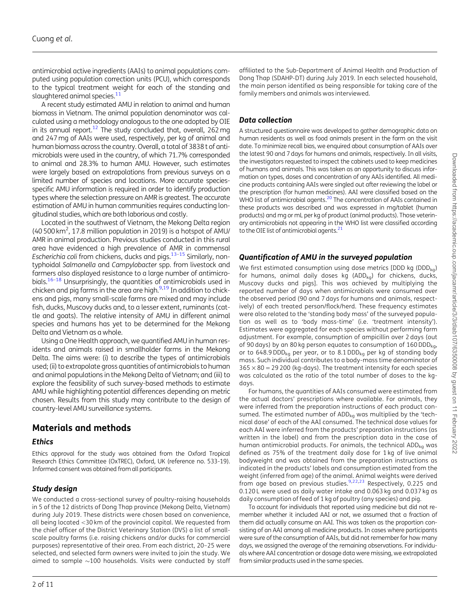antimicrobial active ingredients (AAIs) to animal populations computed using population correction units (PCU), which corresponds to the typical treatment weight for each of the standing and slaughtered animal species.<sup>11</sup>

A recent study estimated AMU in relation to animal and human biomass in Vietnam. The animal population denominator was calculated using a methodology analogous to the one adopted by OIE in its annual report.<sup>12</sup> The study concluded that, overall,  $262$  mg and 247 mg of AAIs were used, respectively, per kg of animal and human biomass across the country. Overall, a total of 3838 t of antimicrobials were used in the country, of which 71.7% corresponded to animal and 28.3% to human AMU. However, such estimates were largely based on extrapolations from previous surveys on a limited number of species and locations. More accurate speciesspecific AMU information is required in order to identify production types where the selection pressure on AMR is greatest. The accurate estimation of AMU in human communities requires conducting longitudinal studies, which are both laborious and costly.

Located in the southwest of Vietnam, the Mekong Delta region (40 500 km2 , 17.8 million population in 2019) is a hotspot of AMU/ AMR in animal production. Previous studies conducted in this rural area have evidenced a high prevalence of AMR in commensal Escherichia coli from chickens, ducks and pigs. $13-15$  Similarly, nontyphoidal Salmonella and Campylobacter spp. from livestock and farmers also displayed resistance to a large number of antimicrobials.<sup>16–18</sup> Unsurprisingly, the quantities of antimicrobials used in chicken and pig farms in the area are high. $9,19$  In addition to chickens and pigs, many small-scale farms are mixed and may include fish, ducks, Muscovy ducks and, to a lesser extent, ruminants (cattle and goats). The relative intensity of AMU in different animal species and humans has yet to be determined for the Mekong Delta and Vietnam as a whole.

Using a One Health approach, we quantified AMU in human residents and animals raised in smallholder farms in the Mekong Delta. The aims were: (i) to describe the types of antimicrobials used; (ii) to extrapolate gross quantities of antimicrobials to human and animal populations in the Mekong Delta of Vietnam; and (iii) to explore the feasibility of such survey-based methods to estimate AMU while highlighting potential differences depending on metric chosen. Results from this study may contribute to the design of country-level AMU surveillance systems.

## Materials and methods

#### **Ethics**

Ethics approval for the study was obtained from the Oxford Tropical Research Ethics Committee (OxTREC), Oxford, UK (reference no. 533-19). Informed consent was obtained from all participants.

#### Study design

We conducted a cross-sectional survey of poultry-raising households in 5 of the 12 districts of Dong Thap province (Mekong Delta, Vietnam) during July 2019. These districts were chosen based on convenience, all being located <30 km of the provincial capital. We requested from the chief officer of the District Veterinary Station (DVS) a list of smallscale poultry farms (i.e. raising chickens and/or ducks for commercial purposes) representative of their area. From each district, 20–25 were selected, and selected farm owners were invited to join the study. We aimed to sample  ${\sim}100$  households. Visits were conducted by staff

affiliated to the Sub-Department of Animal Health and Production of Dong Thap (SDAHP-DT) during July 2019. In each selected household, the main person identified as being responsible for taking care of the family members and animals was interviewed.

### Data collection

A structured questionnaire was developed to gather demographic data on human residents as well as food animals present in the farm on the visit date. To minimize recall bias, we enquired about consumption of AAIs over the latest 90 and 7 days for humans and animals, respectively. In all visits, the investigators requested to inspect the cabinets used to keep medicines of humans and animals. This was taken as an opportunity to discuss information on types, doses and concentration of any AAIs identified. All medicine products containing AAIs were singled out after reviewing the label or the prescription (for human medicines). AAI were classified based on the WHO list of antimicrobial agents.<sup>20</sup> The concentration of AAIs contained in these products was described and was expressed in mg/tablet (human products) and mg or mL per kg of product (animal products). Those veterinary antimicrobials not appearing in the WHO list were classified according to the OIE list of antimicrobial agents.<sup>21</sup>

### Quantification of AMU in the surveyed population

We first estimated consumption using dose metrics [DDD kg (DDD<sub>ka</sub>) for humans, animal daily doses kg  $(ADD_{kg})$  for chickens, ducks, Muscovy ducks and pigs]. This was achieved by multiplying the reported number of days when antimicrobials were consumed over the observed period (90 and 7 days for humans and animals, respectively) of each treated person/flock/herd. These frequency estimates were also related to the 'standing body mass' of the surveyed population as well as to 'body mass-time' (i.e. 'treatment intensity'). Estimates were aggregated for each species without performing farm adjustment. For example, consumption of ampicillin over 2 days (out of 90 days) by an 80 kg person equates to consumption of  $160$  DDD<sub>kg</sub>, or to 648.9 DDD<sub>kg</sub> per year, or to 8.1 DDD<sub>kg</sub> per kg of standing body mass. Such individual contributes to a body-mass time denominator of  $365 \times 80 = 29200$  (kg-days). The treatment intensity for each species was calculated as the ratio of the total number of doses to the kgdays.

For humans, the quantities of AAIs consumed were estimated from the actual doctors' prescriptions where available. For animals, they were inferred from the preparation instructions of each product consumed. The estimated number of  $ADD_{ka}$  was multiplied by the 'technical dose' of each of the AAI consumed. The technical dose values for each AAI were inferred from the products' preparation instructions (as written in the label) and from the prescription data in the case of human antimicrobial products. For animals, the technical  $ADD<sub>ka</sub>$  was defined as 75% of the treatment daily dose for 1 kg of live animal bodyweight and was obtained from the preparation instructions as indicated in the products' labels and consumption estimated from the weight (inferred from age) of the animal. Animal weights were derived from age based on previous studies. $9,22,23$  Respectively, 0.225 and 0.120 L were used as daily water intake and 0.063 kg and 0.037 kg as daily consumption of feed of 1 kg of poultry (any species) and pig.

To account for individuals that reported using medicine but did not remember whether it included AAI or not, we assumed that a fraction of them did actually consume an AAI. This was taken as the proportion consisting of an AAI among all medicine products. In cases where participants were sure of the consumption of AAIs, but did not remember for how many days, we assigned the average of the remaining observations. For individuals where AAI concentration or dosage data were missing, we extrapolated from similar products used in the same species.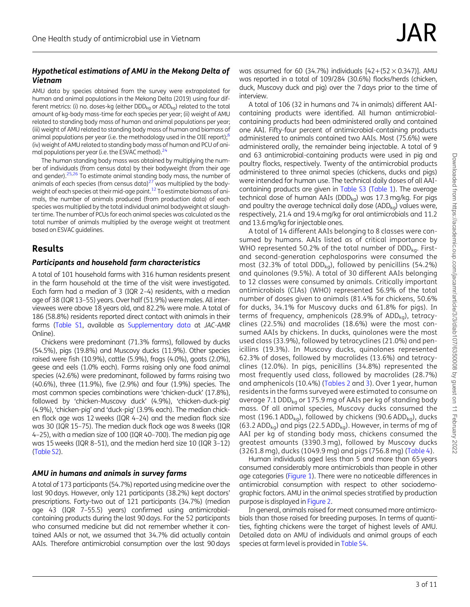#### Hypothetical estimations of AMU in the Mekong Delta of Vietnam

AMU data by species obtained from the survey were extrapolated for human and animal populations in the Mekong Delta (2019) using four different metrics: (i) no. doses-kg (either  $DDD_{kq}$  or  $ADD_{kq}$ ) related to the total amount of kg-body mass-time for each species per year; (ii) weight of AMU related to standing body mass of human and animal populations per year; (iii) weight of AMU related to standing body mass of human and biomass of animal populations per year (i.e. the methodology used in the OIE report); $6$ (iv) weight of AMU related to standing body mass of human and PCU of animal populations per year (i.e. the ESVAC method).<sup>24</sup>

The human standing body mass was obtained by multiplying the number of individuals (from census data) by their bodyweight (from their age and gender).<sup>25,26</sup> To estimate animal standing body mass, the number of animals of each species (from census data) $27$  was multiplied by the bodyweight of each species at their mid-age point.<sup>12</sup> To estimate biomass of animals, the number of animals produced (from production data) of each species was multiplied by the total individual animal bodyweight at slaughter time. The number of PCUs for each animal species was calculated as the total number of animals multiplied by the average weight at treatment based on ESVAC guidelines.

## Results

#### Participants and household farm characteristics

A total of 101 household farms with 316 human residents present in the farm household at the time of the visit were investigated. Each farm had a median of 3 (IQR 2–4) residents, with a median age of 38 (IQR 13–55) years. Over half (51.9%) were males. All interviewees were above 18 years old, and 82.2% were male. A total of 186 (58.8%) residents reported direct contact with animals in their farms [\(Table S1](http://academic.oup.com/jacamr/article-lookup/doi/10.1093/jacamr/dlab107#supplementary-data), available as [Supplementary data](http://academic.oup.com/jacamr/article-lookup/doi/10.1093/jacamr/dlab107#supplementary-data) at JAC-AMR Online).

Chickens were predominant (71.3% farms), followed by ducks (54.5%), pigs (19.8%) and Muscovy ducks (11.9%). Other species raised were fish (10.9%), cattle (5.9%), frogs (4.0%), goats (2.0%), geese and eels (1.0% each). Farms raising only one food animal species (42.6%) were predominant, followed by farms raising two (40.6%), three (11.9%), five (2.9%) and four (1.9%) species. The most common species combinations were 'chicken-duck' (17.8%), followed by 'chicken-Muscovy duck' (4.9%), 'chicken-duck-pig' (4.9%), 'chicken-pig' and 'duck-pig' (3.9% each). The median chicken flock age was 12 weeks (IQR 4–24) and the median flock size was 30 (IQR 15–75). The median duck flock age was 8 weeks (IQR 4–25), with a median size of 100 (IQR 40–700). The median pig age was 15 weeks (IQR 8–51), and the median herd size 10 (IQR 3–12) [\(Table S2\)](http://academic.oup.com/jacamr/article-lookup/doi/10.1093/jacamr/dlab107#supplementary-data).

#### AMU in humans and animals in survey farms

A total of 173 participants (54.7%) reported using medicine over the last 90 days. However, only 121 participants (38.2%) kept doctors' prescriptions. Forty-two out of 121 participants (34.7%) (median age 43 (IQR 7–55.5) years) confirmed using antimicrobialcontaining products during the last 90 days. For the 52 participants who consumed medicine but did not remember whether it contained AAIs or not, we assumed that 34.7% did actually contain AAIs. Therefore antimicrobial consumption over the last 90 days

was assumed for 60 (34.7%) individuals  $[42+(52\times 0.347)]$ . AMU was reported in a total of 109/284 (30.6%) flocks/herds (chicken, duck, Muscovy duck and pig) over the 7 days prior to the time of interview.

A total of 106 (32 in humans and 74 in animals) different AAIcontaining products were identified. All human antimicrobialcontaining products had been administered orally and contained one AAI. Fifty-four percent of antimicrobial-containing products administered to animals contained two AAIs. Most (75.6%) were administered orally, the remainder being injectable. A total of 9 and 63 antimicrobial-containing products were used in pig and poultry flocks, respectively. Twenty of the antimicrobial products administered to three animal species (chickens, ducks and pigs) were intended for human use. The technical daily doses of all AAIcontaining products are given in [Table S3](http://academic.oup.com/jacamr/article-lookup/doi/10.1093/jacamr/dlab107#supplementary-data) (Table 1). The average technical dose of human AAIs (DDD $_{\text{ko}}$ ) was 17.3 mg/kg. For pigs and poultry the average technical daily dose (ADD $_{\text{ka}}$ ) values were, respectively, 21.4 and 19.4 mg/kg for oral antimicrobials and 11.2 and 13.6 mg/kg for injectable ones.

A total of 14 different AAIs belonging to 8 classes were consumed by humans. AAIs listed as of critical importance by WHO represented 50.2% of the total number of  $DDD_{kq}$ . Firstand second-generation cephalosporins were consumed the most (32.3% of total DDD $_{\text{kg}}$ ), followed by penicillins (54.2%) and quinolones (9.5%). A total of 30 different AAIs belonging to 12 classes were consumed by animals. Critically important antimicrobials (CIAs) (WHO) represented 56.9% of the total number of doses given to animals (81.4% for chickens, 50.6% for ducks, 34.1% for Muscovy ducks and 61.8% for pigs). In terms of frequency, amphenicols (28.9% of ADD $_{\text{ka}}$ ), tetracyclines (22.5%) and macrolides (18.6%) were the most consumed AAIs by chickens. In ducks, quinolones were the most used class (33.9%), followed by tetracyclines (21.0%) and penicillins (19.3%). In Muscovy ducks, quinolones represented 62.3% of doses, followed by macrolides (13.6%) and tetracyclines (12.0%). In pigs, penicillins (34.8%) represented the most frequently used class, followed by macrolides (28.7%) and amphenicols (10.4%) (Tables 2 and 3). Over 1 year, human residents in the farms surveyed were estimated to consume on average 7.1 DDD $_{\text{ka}}$  or 175.9 mg of AAIs per kg of standing body mass. Of all animal species, Muscovy ducks consumed the most (196.1 ADD<sub>kg</sub>), followed by chickens (90.6 ADD<sub>kg</sub>), ducks (63.2 ADD<sub>kg</sub>) and pigs (22.5 ADD<sub>kg</sub>). However, in terms of mg of AAI per kg of standing body mass, chickens consumed the greatest amounts (3390.3 mg), followed by Muscovy ducks (3261.8 mg), ducks (1049.9 mg) and pigs (756.8 mg) (Table 4).

Human individuals aged less than 5 and more than 65 years consumed considerably more antimicrobials than people in other age categories (Figure 1). There were no noticeable differences in antimicrobial consumption with respect to other sociodemographic factors. AMU in the animal species stratified by production purpose is displayed in Figure 2.

In general, animals raised for meat consumed more antimicrobials than those raised for breeding purposes. In terms of quantities, fighting chickens were the target of highest levels of AMU. Detailed data on AMU of individuals and animal groups of each species at farm level is provided in [Table S4](http://academic.oup.com/jacamr/article-lookup/doi/10.1093/jacamr/dlab107#supplementary-data).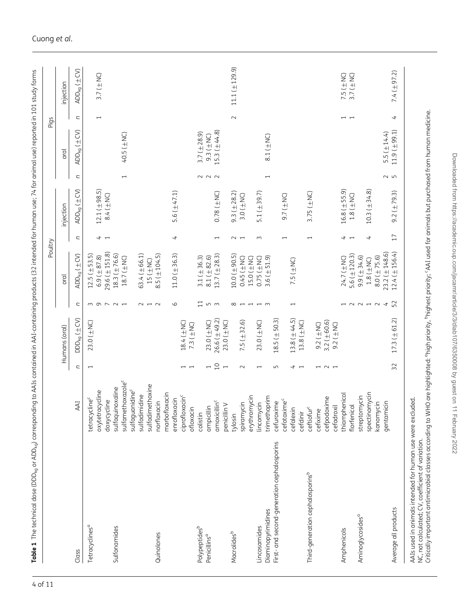| Tetracyclines <sup>a</sup><br>Class          |                                       |                          |                                    |                               |                         | Poultry                  |                                     |                          |                        | Pigs                     |                        |
|----------------------------------------------|---------------------------------------|--------------------------|------------------------------------|-------------------------------|-------------------------|--------------------------|-------------------------------------|--------------------------|------------------------|--------------------------|------------------------|
|                                              |                                       |                          | Humans (oral)                      |                               | oral                    |                          | injection                           |                          | oral                   |                          | injection              |
|                                              | <b>AAI</b>                            | C                        | $DD_{kg}$ ( $\pm$ CV)              | U                             | $ADD_{kg}$ ( $\pm$ CV)  | U                        | $ADD_{kg}$ ( $\pm$ CV)              | U                        | $ADD_{kg}$ ( $\pm$ CV) | $\overline{a}$           | $ADD_{kg}$ ( $\pm$ CV) |
|                                              | tetracycline <sup>c</sup>             | $\overline{\phantom{0}}$ | $23.0$ ( $\pm$ NC)                 | m <sub>o</sub>                | $12.5 (\pm 53.5)$       |                          |                                     |                          |                        |                          |                        |
|                                              | oxytetracycline                       |                          |                                    |                               | $6.9 (\pm 87.8)$        | $\frac{4}{1}$            | $12.1 (\pm 98.5)$                   |                          |                        | $\overline{\phantom{0}}$ | 3.7 ( $\pm$ NC)        |
|                                              | doxycycline                           |                          |                                    | $\overline{\phantom{0}}$      | $29.6 (\pm 151.8)$      |                          | 8.4 (±NC)                           |                          |                        |                          |                        |
| Sulfonamides                                 | sulfaquinoxaline                      |                          |                                    | $\sim$                        | $18.3 (\pm 76.6)$       |                          |                                     |                          |                        |                          |                        |
|                                              | sulfamethoxazole <sup>c</sup>         |                          |                                    | $\overline{ }$                | $18.7\ (\pm \text{NC})$ |                          |                                     | $\overline{\phantom{0}}$ | 40.5 (±NC)             |                          |                        |
|                                              | sulfaguanidine <sup>c</sup>           |                          |                                    |                               |                         |                          |                                     |                          |                        |                          |                        |
|                                              | sulfadimidine                         |                          |                                    | $\sim$                        | $63.4 (\pm 66.1)$       |                          |                                     |                          |                        |                          |                        |
|                                              | sulfadimethoxine                      |                          |                                    |                               | $15(\pm N)$             |                          |                                     |                          |                        |                          |                        |
| Quinolones                                   | norfloxacin                           |                          |                                    | $\overline{1}$ $\overline{1}$ | $8.5 (\pm 104.5)$       |                          |                                     |                          |                        |                          |                        |
|                                              | marbofloxacin                         |                          |                                    |                               |                         |                          |                                     |                          |                        |                          |                        |
|                                              | enrofloxacin                          |                          |                                    | $\circ$                       | $11.0 (\pm 36.3)$       | 4                        | 5.6 $(\pm 47.1)$                    |                          |                        |                          |                        |
|                                              | ciprofloxacin <sup>c</sup>            |                          | 18.4 $(\pm$ NC)                    |                               |                         |                          |                                     |                          |                        |                          |                        |
|                                              | ofloxacin                             | $\overline{ }$           | 7.3 ( $\pm$ NC)                    |                               |                         |                          |                                     |                          |                        |                          |                        |
| colistin<br>Polypeptides <sup>b</sup>        |                                       |                          |                                    | $\overline{11}$               | 3.1 ( $\pm$ 36.3)       |                          |                                     | $\sim$                   | $3.7(\pm 28.9)$        |                          |                        |
| Penicillins <sup>a</sup>                     | ampicillin                            | $\overline{\phantom{0}}$ | $23.0 \ (\pm \text{NC})$           |                               | $8.1 (\pm 82.6)$        |                          |                                     | $\sim$ $\sim$            | $9.3 (\pm$ NC)         |                          |                        |
|                                              | amoxicillin <sup>c</sup>              |                          | $26.6 (\pm 49.2)$                  | $m \, m$                      | $13.7(\pm 28.3)$        | $\overline{\phantom{0}}$ | $0.78 \left( \pm \text{NC} \right)$ |                          | 15.3 $(\pm 44.8)$      |                          |                        |
|                                              | penicillin V                          | $\overline{a}$           | $23.0$ ( $\pm$ NC)                 |                               |                         |                          |                                     |                          |                        |                          |                        |
| tylosin<br>Macrolides <sup>b</sup>           |                                       |                          |                                    | $\infty$                      | $10.0 (\pm 90.5)$       |                          | $9.3 (\pm 28.2)$                    |                          |                        | $\sim$                   | $11.1 (\pm 129.9)$     |
|                                              | spiramycin                            | $\sim$                   | $7.5 (\pm 32.6)$                   |                               | $0.45$ ( $\pm$ NC)      | $\sim$ $\sim$            | $3.0(\pm$ NC)                       |                          |                        |                          |                        |
|                                              | erythromycin                          |                          |                                    | $\overline{\phantom{a}}$      | $15.0(\pm$ NC)          |                          |                                     |                          |                        |                          |                        |
| Lincosamides                                 | lincomycin                            | $\overline{\phantom{0}}$ | $23.0$ ( $\pm$ NC)                 |                               | $0.75$ ( $\pm$ NC)      | $\sim$                   | 5.1 $(\pm 39.7)$                    |                          |                        |                          |                        |
| Diaminopyrimidines                           | trimethoprim                          |                          |                                    | $\overline{1}$ $\overline{1}$ | $3.6 (\pm 51.9)$        |                          |                                     | $\overline{\phantom{0}}$ | 8.1 $(\pm$ NC)         |                          |                        |
|                                              |                                       | $\sqrt{2}$               |                                    |                               |                         |                          |                                     |                          |                        |                          |                        |
| First- and second-generation cephalosporins  | cefotaxime <sup>c</sup><br>cefuroxime |                          | $18.5 (\pm 50.3)$                  |                               |                         | $\overline{\phantom{0}}$ | $9.7(\pm$ NC)                       |                          |                        |                          |                        |
|                                              |                                       |                          |                                    |                               |                         |                          |                                     |                          |                        |                          |                        |
| cefdinir                                     | cefalexin                             | $\frac{4}{7}$            | $13.8(\pm44.5)$                    | $\overline{\phantom{0}}$      | 7.5 ( $\pm$ NC)         |                          |                                     |                          |                        |                          |                        |
|                                              |                                       |                          | $13.8(\pm$ NC)                     |                               |                         |                          |                                     |                          |                        |                          |                        |
| Third-generation cephalosporins <sup>b</sup> | ceftiofur <sup>c</sup>                |                          |                                    |                               |                         | $\overline{\phantom{0}}$ | $3.75(\pm$ NC)                      |                          |                        |                          |                        |
|                                              | cefixime                              | $\overline{\phantom{0}}$ | $9.2 \left( \pm \text{NC} \right)$ |                               |                         |                          |                                     |                          |                        |                          |                        |
|                                              | cefpodoxime                           | $\sim$ $\sim$            | $3.2(\pm 60.6)$                    |                               |                         |                          |                                     |                          |                        |                          |                        |
|                                              | cefadroxil                            |                          | $9.2 \left( \pm \text{NC} \right)$ |                               |                         |                          |                                     |                          |                        |                          |                        |
| Amphenicols                                  | thiamphenicol                         |                          |                                    |                               | 24.7 (±NC)              | + ⊣                      | $16.8 (\pm 55.9)$                   |                          |                        |                          | $7.5(\pm$ NC)          |
|                                              | florfenicol                           |                          |                                    | 12212                         | $5.6 (\pm 120.3)$       |                          | $1.8(\pm$ NC)                       |                          |                        |                          | 3.7 ( $\pm$ NC)        |
| Aminoglycosides <sup>a</sup>                 | streptomycin                          |                          |                                    |                               | $9.9 (\pm 34.6)$        |                          |                                     |                          |                        |                          |                        |
|                                              | spectinomycin                         |                          |                                    |                               | $1.8(\pm$ NC)           | 4                        | $10.3 (\pm 34.8)$                   |                          |                        |                          |                        |
|                                              | kanamycin                             |                          |                                    |                               | $8.0 (\pm 75.6)$        |                          |                                     |                          |                        |                          |                        |
|                                              | gentamicin                            |                          |                                    | $\rightarrow$                 | $23.2 (\pm 148.6)$      |                          |                                     |                          | 5.5 ( $\pm$ 14.4)      |                          |                        |
| Average all products                         |                                       | 32                       | $17.3 (\pm 61.2)$                  | 52                            | $12.4 (\pm 156.4)$      | $17\,$                   | $9.2 (\pm 79.3)$                    | 2<br>5<br>5              | $11.9( \pm 99.1)$      | 4                        | $7.4(\pm 97.2)$        |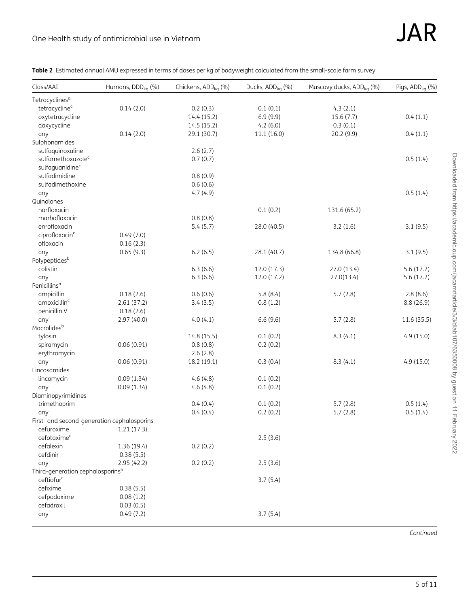| Class/AAI                                   | Humans, DDD <sub>ka</sub> (%) | Chickens, ADD <sub>kg</sub> (%) | Ducks, ADD <sub>kg</sub> (%) | Muscovy ducks, ADD <sub>kg</sub> (%) | Pigs, ADD <sub>kg</sub> (%) |
|---------------------------------------------|-------------------------------|---------------------------------|------------------------------|--------------------------------------|-----------------------------|
| Tetracyclines <sup>a</sup>                  |                               |                                 |                              |                                      |                             |
| tetracycline <sup>c</sup>                   | 0.14(2.0)                     | 0.2(0.3)                        | 0.1(0.1)                     | 4.3(2.1)                             |                             |
| oxytetracycline                             |                               | 14.4 (15.2)                     | 6.9(9.9)                     | 15.6(7.7)                            | 0.4(1.1)                    |
| doxycycline                                 |                               | 14.5 (15.2)                     | 4.2(6.0)                     | 0.3(0.1)                             |                             |
| any                                         | 0.14(2.0)                     | 29.1 (30.7)                     | 11.1 (16.0)                  | 20.2 (9.9)                           | 0.4(1.1)                    |
| Sulphonamides                               |                               |                                 |                              |                                      |                             |
| sulfaquinoxaline                            |                               | 2.6(2.7)                        |                              |                                      |                             |
| sulfamethoxazole <sup>c</sup>               |                               | 0.7(0.7)                        |                              |                                      | 0.5(1.4)                    |
| sulfaguanidine <sup>c</sup>                 |                               |                                 |                              |                                      |                             |
| sulfadimidine                               |                               | 0.8(0.9)                        |                              |                                      |                             |
| sulfadimethoxine                            |                               | 0.6(0.6)                        |                              |                                      |                             |
| any                                         |                               | 4.7(4.9)                        |                              |                                      | 0.5(1.4)                    |
| Quinolones                                  |                               |                                 |                              |                                      |                             |
| norfloxacin                                 |                               |                                 | 0.1(0.2)                     | 131.6 (65.2)                         |                             |
| marbofloxacin                               |                               | 0.8(0.8)                        |                              |                                      |                             |
| enrofloxacin                                |                               | 5.4(5.7)                        | 28.0 (40.5)                  | 3.2(1.6)                             | 3.1(9.5)                    |
| ciprofloxacin <sup>c</sup>                  | 0.49(7.0)                     |                                 |                              |                                      |                             |
| ofloxacin                                   | 0.16(2.3)                     |                                 |                              |                                      |                             |
| any                                         | 0.65(9.3)                     | 6.2(6.5)                        | 28.1 (40.7)                  | 134.8 (66.8)                         | 3.1(9.5)                    |
| Polypeptides <sup>b</sup>                   |                               |                                 |                              |                                      |                             |
| colistin                                    |                               | 6.3(6.6)                        | 12.0 (17.3)                  | 27.0 (13.4)                          | 5.6(17.2)                   |
| any                                         |                               | 6.3(6.6)                        | 12.0(17.2)                   | 27.0(13.4)                           | 5.6(17.2)                   |
| Penicillins <sup>a</sup>                    |                               |                                 |                              |                                      |                             |
| ampicillin                                  | 0.18(2.6)                     | 0.6(0.6)                        | 5.8(8.4)                     | 5.7(2.8)                             | 2.8(8.6)                    |
| amoxicillin <sup>c</sup>                    | 2.61(37.2)                    | 3.4(3.5)                        | 0.8(1.2)                     |                                      | 8.8(26.9)                   |
| penicillin V                                | 0.18(2.6)                     |                                 |                              |                                      |                             |
| any                                         | 2.97 (40.0)                   | 4.0(4.1)                        | 6.6(9.6)                     | 5.7(2.8)                             | 11.6 (35.5)                 |
| Macrolides <sup>b</sup>                     |                               |                                 |                              |                                      |                             |
| tylosin                                     |                               | 14.8 (15.5)                     | 0.1(0.2)                     | 8.3(4.1)                             | 4.9(15.0)                   |
| spiramycin                                  | 0.06(0.91)                    | 0.8(0.8)                        | 0.2(0.2)                     |                                      |                             |
| erythromycin                                |                               | 2.6(2.8)                        |                              |                                      |                             |
| any                                         | 0.06(0.91)                    | 18.2 (19.1)                     | 0.3(0.4)                     | 8.3(4.1)                             | 4.9(15.0)                   |
| Lincosamides                                |                               |                                 |                              |                                      |                             |
| lincomycin                                  | 0.09(1.34)                    | 4.6(4.8)                        | 0.1(0.2)                     |                                      |                             |
| any                                         | 0.09(1.34)                    | 4.6(4.8)                        | 0.1(0.2)                     |                                      |                             |
| Diaminopyrimidines                          |                               |                                 |                              |                                      |                             |
| trimethoprim                                |                               | 0.4(0.4)                        | 0.1(0.2)                     | 5.7(2.8)                             | 0.5(1.4)                    |
| any                                         |                               | 0.4(0.4)                        | 0.2(0.2)                     | 5.7(2.8)                             | 0.5(1.4)                    |
| First- and second-generation cephalosporins |                               |                                 |                              |                                      |                             |
| cefuroxime                                  | 1.21(17.3)                    |                                 |                              |                                      |                             |
| cefotaxime <sup>c</sup>                     |                               |                                 | 2.5(3.6)                     |                                      |                             |
| cefalexin                                   | 1.36 (19.4)                   | 0.2(0.2)                        |                              |                                      |                             |
| cefdinir                                    | 0.38(5.5)                     |                                 |                              |                                      |                             |
| any                                         | 2.95(42.2)                    | 0.2(0.2)                        | 2.5(3.6)                     |                                      |                             |
| Third-generation cephalosporinsb            |                               |                                 |                              |                                      |                             |
| ceftiofur <sup>c</sup>                      |                               |                                 | 3.7(5.4)                     |                                      |                             |
| cefixime                                    | 0.38(5.5)                     |                                 |                              |                                      |                             |
| cefpodoxime                                 | 0.08(1.2)                     |                                 |                              |                                      |                             |
| cefadroxil                                  | 0.03(0.5)                     |                                 |                              |                                      |                             |
| any                                         | 0.49(7.2)                     |                                 | 3.7(5.4)                     |                                      |                             |

Table 2 Estimated annual AMU expressed in terms of doses per kg of bodyweight calculated from the small-scale farm survey

Downloaded from https://academic.oup.com/jacamr/article/3/3/dlab107/6350008 by guest on 11 February 2022 Downloaded from https://academic.oup.com/jacamr/article/3/3/dlab107/6350008 by guest on 11 February 2022

Continued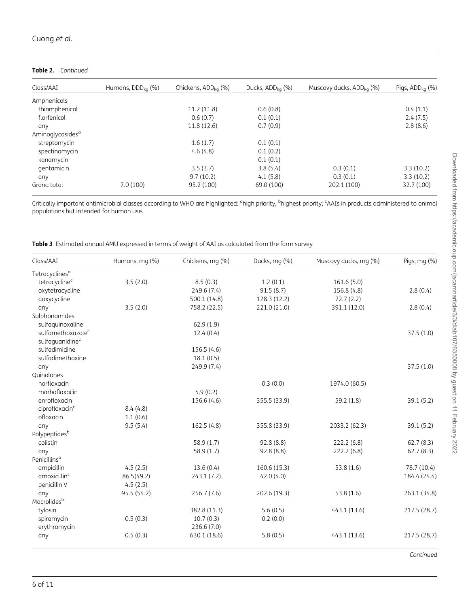#### Table 2. Continued

| Class/AAI                    | Humans, $DDDka$ (%) | Chickens, $ADD_{ka}$ (%) | Ducks, $ADD_{ka}$ (%) | Muscovy ducks, $ADD_{ka}$ (%) | Pigs, $ADD_{ka}$ (%) |
|------------------------------|---------------------|--------------------------|-----------------------|-------------------------------|----------------------|
| Amphenicols                  |                     |                          |                       |                               |                      |
| thiamphenicol                |                     | 11.2(11.8)               | 0.6(0.8)              |                               | 0.4(1.1)             |
| florfenicol                  |                     | 0.6(0.7)                 | 0.1(0.1)              |                               | 2.4(7.5)             |
| any                          |                     | 11.8(12.6)               | 0.7(0.9)              |                               | 2.8(8.6)             |
| Aminoglycosides <sup>a</sup> |                     |                          |                       |                               |                      |
| streptomycin                 |                     | 1.6(1.7)                 | 0.1(0.1)              |                               |                      |
| spectinomycin                |                     | 4.6(4.8)                 | 0.1(0.2)              |                               |                      |
| kanamycin                    |                     |                          | 0.1(0.1)              |                               |                      |
| gentamicin                   |                     | 3.5(3.7)                 | 3.8(5.4)              | 0.3(0.1)                      | 3.3(10.2)            |
| any                          |                     | 9.7(10.2)                | 4.1(5.8)              | 0.3(0.1)                      | 3.3(10.2)            |
| Grand total                  | 7.0(100)            | 95.2 (100)               | 69.0 (100)            | 202.1 (100)                   | 32.7 (100)           |

Critically important antimicrobial classes according to WHO are highlighted: <sup>a</sup>high priority, <sup>b</sup>highest priority; <sup>c</sup>AAIs in products administered to animal populations but intended for human use.

Table 3 Estimated annual AMU expressed in terms of weight of AAI as calculated from the farm survey

| Class/AAI                     | Humans, mg (%) | Chickens, mg (%) | Ducks, mg (%) | Muscovy ducks, mg (%) | Pigs, mg (%) |
|-------------------------------|----------------|------------------|---------------|-----------------------|--------------|
| Tetracyclines <sup>a</sup>    |                |                  |               |                       |              |
| tetracycline <sup>c</sup>     | 3.5(2.0)       | 8.5(0.3)         | 1.2(0.1)      | 161.6 (5.0)           |              |
| oxytetracycline               |                | 249.6 (7.4)      | 91.5(8.7)     | 156.8 (4.8)           | 2.8(0.4)     |
| doxycycline                   |                | 500.1 (14.8)     | 128.3 (12.2)  | 72.7(2.2)             |              |
| any                           | 3.5(2.0)       | 758.2 (22.5)     | 221.0 (21.0)  | 391.1 (12.0)          | 2.8(0.4)     |
| Sulphonamides                 |                |                  |               |                       |              |
| sulfaquinoxaline              |                | 62.9(1.9)        |               |                       |              |
| sulfamethoxazole <sup>c</sup> |                | 12.4(0.4)        |               |                       | 37.5(1.0)    |
| sulfaquanidine <sup>c</sup>   |                |                  |               |                       |              |
| sulfadimidine                 |                | 156.5(4.6)       |               |                       |              |
| sulfadimethoxine              |                | 18.1(0.5)        |               |                       |              |
| any                           |                | 249.9 (7.4)      |               |                       | 37.5(1.0)    |
| Quinolones                    |                |                  |               |                       |              |
| norfloxacin                   |                |                  | 0.3(0.0)      | 1974.0 (60.5)         |              |
| marbofloxacin                 |                | 5.9(0.2)         |               |                       |              |
| enrofloxacin                  |                | 156.6 (4.6)      | 355.5 (33.9)  | 59.2 (1.8)            | 39.1 (5.2)   |
| ciprofloxacin <sup>c</sup>    | 8.4(4.8)       |                  |               |                       |              |
| ofloxacin                     | 1.1(0.6)       |                  |               |                       |              |
| any                           | 9.5(5.4)       | 162.5 (4.8)      | 355.8 (33.9)  | 2033.2 (62.3)         | 39.1 (5.2)   |
| Polypeptides <sup>b</sup>     |                |                  |               |                       |              |
| colistin                      |                | 58.9(1.7)        | 92.8 (8.8)    | 222.2 (6.8)           | 62.7(8.3)    |
| any                           |                | 58.9 (1.7)       | 92.8 (8.8)    | 222.2 (6.8)           | 62.7(8.3)    |
| Penicillins <sup>a</sup>      |                |                  |               |                       |              |
| ampicillin                    | 4.5(2.5)       | 13.6(0.4)        | 160.6 (15.3)  | 53.8(1.6)             | 78.7 (10.4)  |
| amoxicillin <sup>c</sup>      | 86.5(49.2)     | 243.1(7.2)       | 42.0(4.0)     |                       | 184.4 (24.4) |
| penicillin V                  | 4.5(2.5)       |                  |               |                       |              |
| any                           | 95.5 (54.2)    | 256.7 (7.6)      | 202.6 (19.3)  | 53.8 (1.6)            | 263.1 (34.8) |
| Macrolidesb                   |                |                  |               |                       |              |
| tylosin                       |                | 382.8 (11.3)     | 5.6(0.5)      | 443.1 (13.6)          | 217.5 (28.7) |
| spiramycin                    | 0.5(0.3)       | 10.7(0.3)        | 0.2(0.0)      |                       |              |
| erythromycin                  |                | 236.6 (7.0)      |               |                       |              |
| any                           | 0.5(0.3)       | 630.1 (18.6)     | 5.8(0.5)      | 443.1 (13.6)          | 217.5 (28.7) |
|                               |                |                  |               |                       | Continued    |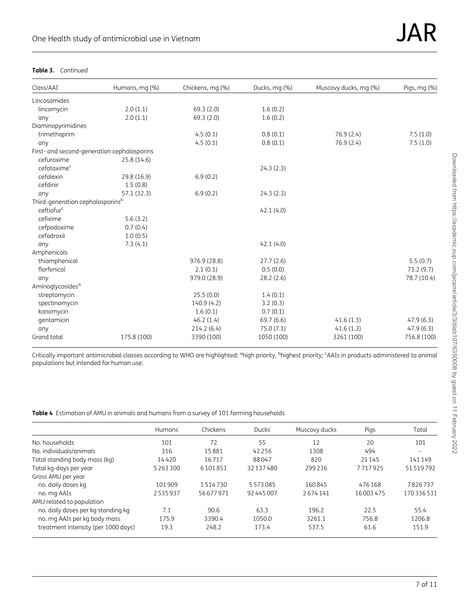#### Table 3. Continued

| Class/AAI                                   | Humans, mg (%) | Chickens, mg (%) | Ducks, mg (%) | Muscovy ducks, mg (%) | Pigs, $mq$ $%$ |
|---------------------------------------------|----------------|------------------|---------------|-----------------------|----------------|
| Lincosamides                                |                |                  |               |                       |                |
| lincomycin                                  | 2.0(1.1)       | 69.3(2.0)        | 1.6(0.2)      |                       |                |
| any                                         | 2.0(1.1)       | 69.3 (2.0)       | 1.6(0.2)      |                       |                |
| Diaminopyrimidines                          |                |                  |               |                       |                |
| trimethoprim                                |                | 4.5(0.1)         | 0.8(0.1)      | 76.9 (2.4)            | 7.5(1.0)       |
| any                                         |                | 4.5(0.1)         | 0.8(0.1)      | 76.9(2.4)             | 7.5(1.0)       |
| First- and second-generation cephalosporins |                |                  |               |                       |                |
| cefuroxime                                  | 25.8 (14.6)    |                  |               |                       |                |
| cefotaxime <sup>c</sup>                     |                |                  | 24.3(2.3)     |                       |                |
| cefalexin                                   | 29.8 (16.9)    | 6.9(0.2)         |               |                       |                |
| cefdinir                                    | 1.5(0.8)       |                  |               |                       |                |
| any                                         | 57.1 (32.3)    | 6.9(0.2)         | 24.3(2.3)     |                       |                |
| Third-generation cephalosporinsb            |                |                  |               |                       |                |
| ceftiofur <sup>c</sup>                      |                |                  | 42.1(4.0)     |                       |                |
| cefixime                                    | 5.6(3.2)       |                  |               |                       |                |
| cefpodoxime                                 | 0.7(0.4)       |                  |               |                       |                |
| cefadroxil                                  | 1.0(0.5)       |                  |               |                       |                |
| any                                         | 7.3(4.1)       |                  | 42.1(4.0)     |                       |                |
| Amphenicols                                 |                |                  |               |                       |                |
| thiamphenicol                               |                | 976.9 (28.8)     | 27.7(2.6)     |                       | 5.5(0.7)       |
| florfenicol                                 |                | 2.1(0.1)         | 0.5(0.0)      |                       | 73.2 (9.7)     |
| any                                         |                | 979.0 (28.9)     | 28.2(2.6)     |                       | 78.7 (10.4)    |
| Aminoglycosides <sup>a</sup>                |                |                  |               |                       |                |
| streptomycin                                |                | 25.5(0.0)        | 1.4(0.1)      |                       |                |
| spectinomycin                               |                | 140.9(4.2)       | 3.2(0.3)      |                       |                |
| kanamycin                                   |                | 1.6(0.1)         | 0.7(0.1)      |                       |                |
| gentamicin                                  |                | 46.2(1.4)        | 69.7(6.6)     | 41.6(1.3)             | 47.9(6.3)      |
| any                                         |                | 214.2(6.4)       | 75.0(7.1)     | 41.6(1.3)             | 47.9(6.3)      |
| Grand total                                 | 175.8 (100)    | 3390 (100)       | 1050 (100)    | 3261 (100)            | 756.8 (100)    |

Critically important antimicrobial classes according to WHO are highlighted: <sup>a</sup>high priority, <sup>b</sup>highest priority; <sup>c</sup>AAIs in products administered to animal populations but intended for human use.

Table 4 Estimation of AMU in animals and humans from a survey of 101 farming households

|                                     | <b>Humans</b> | Chickens | <b>Ducks</b> | Muscovy ducks | Pigs     | Total     |
|-------------------------------------|---------------|----------|--------------|---------------|----------|-----------|
| No. households                      | 101           | 72       | 55           | 12            | 20       | 101       |
| No. individuals/animals             | 316           | 15881    | 42 2 5 6     | 1308          | 494      | -         |
| Total standing body mass (kg)       | 14420         | 16717    | 88047        | 820           | 21 1 45  | 141149    |
| Total kg-days per year              | 5 2 6 3 3 0 0 | 6101851  | 32137480     | 299236        | 7717925  | 51519792  |
| Gross AMU per year                  |               |          |              |               |          |           |
| no. daily doses kg                  | 101909        | 1514730  | 5573085      | 160845        | 476168   | 7826737   |
| no. mg AAIs                         | 2535937       | 56677971 | 92445007     | 2674141       | 16003475 | 170336531 |
| AMU related to population           |               |          |              |               |          |           |
| no. daily doses per kg standing kg  | 7.1           | 90.6     | 63.3         | 196.2         | 22.5     | 55.4      |
| no. mg AAIs per kg body mass        | 175.9         | 3390.4   | 1050.0       | 3261.1        | 756.8    | 1206.8    |
| treatment intensity (per 1000 days) | 19.3          | 248.2    | 173.4        | 537.5         | 61.6     | 151.9     |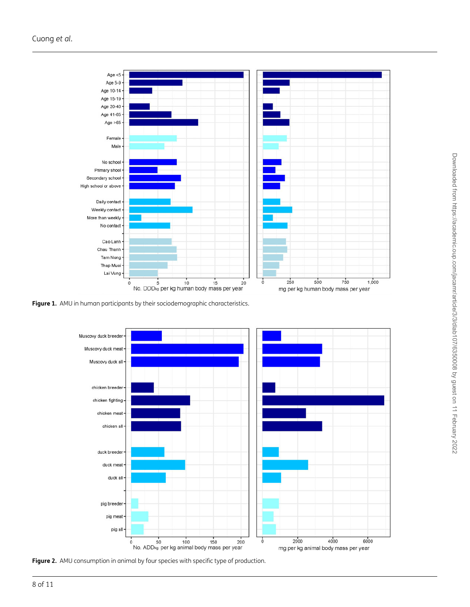

Figure 1. AMU in human participants by their sociodemographic characteristics.



Figure 2. AMU consumption in animal by four species with specific type of production.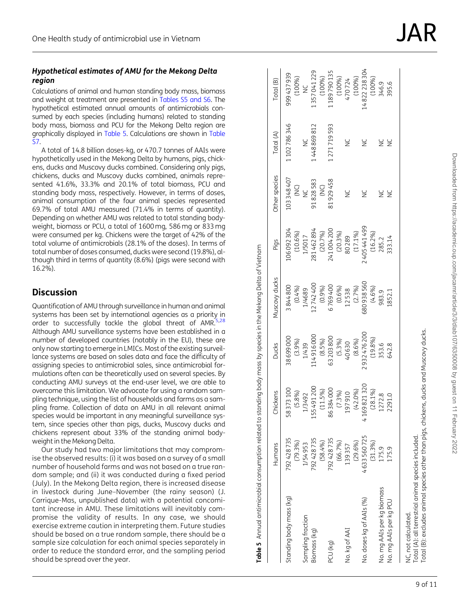### Hypothetical estimates of AMU for the Mekong Delta region

Calculations of animal and human standing body mass, biomass and weight at treatment are presented in [Tables S5 and S6.](http://academic.oup.com/jacamr/article-lookup/doi/10.1093/jacamr/dlab107#supplementary-data) The hypothetical estimated annual amounts of antimicrobials consumed by each species (including humans) related to standing body mass, biomass and PCU for the Mekong Delta region are graphically displayed in Table 5. Calculations are shown in [Table](http://academic.oup.com/jacamr/article-lookup/doi/10.1093/jacamr/dlab107#supplementary-data) [S7](http://academic.oup.com/jacamr/article-lookup/doi/10.1093/jacamr/dlab107#supplementary-data) .

A total of 14.8 billion doses-kg, or 470.7 tonnes of AAIs were hypothetically used in the Mekong Delta by humans, pigs, chickens, ducks and Muscovy ducks combined. Considering only pigs, chickens, ducks and Muscovy ducks combined, animals represented 41.6%, 33.3% and 20.1% of total biomass, PCU and standing body mass, respectively. However, in terms of doses, animal consumption of the four animal species represented 69.7% of total AMU measured (71.4% in terms of quantity). Depending on whether AMU was related to total standing bodyweight, biomass or PCU, a total of 1600 mg, 586 mg or 833 mg were consumed per kg. Chickens were the target of 42% of the total volume of antimicrobials (28.1% of the doses). In terms of total number of doses consumed, ducks were second (19.8%), although third in terms of quantity (8.6%) (pigs were second with 16.2%).

# **Discussion**

Quantification of AMU through surveillance in human and animal systems has been set by international agencies as a priority in order to successfully tackle the global threat of AMR.<sup>5,28</sup> Although AMU surveillance systems have been established in a number of developed countries (notably in the EU), these are only now starting to emerge in LMICs. Most of the existing surveillance systems are based on sales data and face the difficulty of assigning species to antimicrobial sales, since antimicrobial formulations often can be theoretically used on several species. By conducting AMU surveys at the end-user level, we are able to overcome this limitation. We advocate for using a random sampling technique, using the list of households and farms as a sampling frame. Collection of data on AMU in all relevant animal species would be important in any meaningful surveillance system, since species other than pigs, ducks, Muscovy ducks and chickens represent about 33% of the standing animal bodyweight in the Mekong Delta.

Our study had two major limitations that may compromise the observed results: (i) it was based on a survey of a small number of household farms and was not based on a true random sample; and (ii) it was conducted during a fixed period (July). In the Mekong Delta region, there is increased disease in livestock during June–November (the rainy season) (J. Carrique-Mas, unpublished data) with a potential concomitant increase in AMU. These limitations will inevitably compromise the validity of results. In any case, we should exercise extreme caution in interpreting them. Future studies should be based on a true random sample, there should be a sample size calculation for each animal species separately in order to reduce the standard error, and the sampling period should be spread over the year.

 $\frac{1}{2}$ 

 $\frac{6}{5}$ 

333.14 285.2

|                            | )<br>Dibi                         |
|----------------------------|-----------------------------------|
|                            | i chaciac inclinda<br>.<br>געוני  |
|                            | ctricities<br>$\frac{1}{2}$<br>Ĭ, |
| てくせ                        | -<br>2<br>2                       |
| ī<br>こんもく<br>$\frac{1}{2}$ | į                                 |
|                            |                                   |

otal (B): excludes animal species other than pigs, chickens, ducks and Muscovy ducks. Total (B): excludes animal species other than pigs, chickens, ducks and Muscovy ducks. ncluded.

| $\frac{1}{2}$<br>l                                                                                                            |
|-------------------------------------------------------------------------------------------------------------------------------|
| <b>SSSS</b>                                                                                                                   |
|                                                                                                                               |
| ミニ コンシント・コンランド                                                                                                                |
|                                                                                                                               |
|                                                                                                                               |
|                                                                                                                               |
|                                                                                                                               |
|                                                                                                                               |
| ון פון באינו אין באינו אין באינו אין באינו היין באינו בית באינו היין באינו היין באינו היין באינו היין באינו הי<br>;<br>?<br>: |
|                                                                                                                               |
| Table 5 Annual                                                                                                                |
|                                                                                                                               |

Standing body mass (kg) 792 428 735

Standing body mass (kg)

Biomass (kg) 792 428 735

sampling fraction

Biomass (kg)

PCU (kg) 792 428 735

(6x) NDc

No. kg of AAI 139 357

**Vo. kg of AAI** 

No. doses kg of AAIs (%) 4 633 560 725

Vo. doses kg of AAIs (%)

(58.4%)

792428735

792428735

1/54953

(66.7%)

(29.6%)

139357

4633560725

(31.3%)

175.9<br>175.9

mg AAIs per kg biomass<br>mg AAIs per kg PCU

 $\frac{1}{2}$  $\frac{1}{2}$ 

155491200

1/3492

86384000

197 910 (42.0%)

4169821320

2932476200

983.9 852.1

353.6 642.8

2291.0

1272.8

580938560

2405441499

40 630 (8.6%)

12 538 (2.7%)

80 289 (17.1%)

63203800

6769400

241004200

81929458

114916000

281462894

1/5017

91828583

 $\frac{c}{2}$ 

448869812

 $\frac{C}{Z}$ 

1357041229

 $\frac{C}{Z}$ 

(100%)

1189790135

(100%)

470724

1271719593

NC NC 470 724

 $\geq$ 

 $\geq$ 

 $\geq$ 

 $\frac{Q}{Z}$ 

(79.3%)

'92428735

Humans

58373100 Chickens

0006698

3844800

Sampling fraction 1/504 953 1/429 1/429 1/429 1/439 1/439 1/439 1/504 953 1/504 953 1/504 961 1/5017 1/504 961

1/439

1/4689

06 092 304

1102786346

999437939

[otal (B)

Total (A)

Other species 103348407 (100%)

(B) Total Ducks Ducks Ducks Ducks Other species Other species Other species Other species Other species Total (B) Total (B) Total (B) Total (B) Total Support of the Support of the Support of the Support of the Support of t

Muscovy ducks

Ducks

Pigs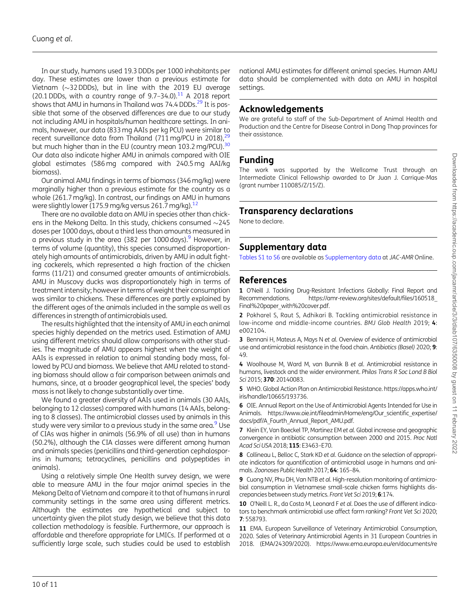In our study, humans used 19.3 DDDs per 1000 inhabitants per day. These estimates are lower than a previous estimate for Vietnam ( $\sim$ 32 DDDs), but in line with the 2019 EU average (20.1 DDDs, with a country range of  $9.7-34.0$ ).<sup>11</sup> A 2018 report shows that AMU in humans in Thailand was 74.4 DDDs.<sup>29</sup> It is possible that some of the observed differences are due to our study not including AMU in hospitals/human healthcare settings. In animals, however, our data (833 mg AAIs per kg PCU) were similar to recent surveillance data from Thailand (711 mg/PCU in 2018), $^{2}$ but much higher than in the EU (country mean 103.2 mg/PCU).<sup>30</sup> Our data also indicate higher AMU in animals compared with OIE global estimates (586 mg compared with 240.5 mg AAI/kg biomass).

Our animal AMU findings in terms of biomass (346 mg/kg) were marginally higher than a previous estimate for the country as a whole (261.7 mg/kg). In contrast, our findings on AMU in humans were slightly lower (175.9 mg/kg versus 261.7 mg/kg).<sup>12</sup>

There are no available data on AMU in species other than chickens in the Mekong Delta. In this study, chickens consumed  ${\sim}245$ doses per 1000 days, about a third less than amounts measured in a previous study in the area (382 per  $1000 \text{ days}$ ). However, in terms of volume (quantity), this species consumed disproportionately high amounts of antimicrobials, driven by AMU in adult fighting cockerels, which represented a high fraction of the chicken farms (11/21) and consumed greater amounts of antimicrobials. AMU in Muscovy ducks was disproportionately high in terms of treatment intensity; however in terms of weight their consumption was similar to chickens. These differences are partly explained by the different ages of the animals included in the sample as well as differences in strength of antimicrobials used.

The results highlighted that the intensity of AMU in each animal species highly depended on the metrics used. Estimation of AMU using different metrics should allow comparisons with other studies. The magnitude of AMU appears highest when the weight of AAIs is expressed in relation to animal standing body mass, followed by PCU and biomass. We believe that AMU related to standing biomass should allow a fair comparison between animals and humans, since, at a broader geographical level, the species' body mass is not likely to change substantially over time.

We found a greater diversity of AAIs used in animals (30 AAIs, belonging to 12 classes) compared with humans (14 AAIs, belonging to 8 classes). The antimicrobial classes used by animals in this study were very similar to a previous study in the same area.<sup>9</sup> Use of CIAs was higher in animals (56.9% of all use) than in humans (50.2%), although the CIA classes were different among human and animals species (penicillins and third-generation cephalosporins in humans; tetracyclines, penicillins and polypeptides in animals).

Using a relatively simple One Health survey design, we were able to measure AMU in the four major animal species in the Mekong Delta of Vietnam and compare it to that of humans in rural community settings in the same area using different metrics. Although the estimates are hypothetical and subject to uncertainty given the pilot study design, we believe that this data collection methodology is feasible. Furthermore, our approach is affordable and therefore appropriate for LMICs. If performed at a sufficiently large scale, such studies could be used to establish

national AMU estimates for different animal species. Human AMU data should be complemented with data on AMU in hospital settings.

## Acknowledgements

We are arateful to staff of the Sub-Department of Animal Health and Production and the Centre for Disease Control in Dong Thap provinces for their assistance.

## Funding

The work was supported by the Wellcome Trust through an Intermediate Clinical Fellowship awarded to Dr Juan J. Carrique-Mas (grant number 110085/Z/15/Z).

# Transparency declarations

None to declare.

# Supplementary data

[Tables S1 to S6](http://academic.oup.com/jacamr/article-lookup/doi/10.1093/jacamr/dlab107#supplementary-data) are available as [Supplementary data](http://academic.oup.com/jacamr/article-lookup/doi/10.1093/jacamr/dlab107#supplementary-data) at JAC-AMR Online.

## References

1 O'Neill J. Tackling Drug-Resistant Infections Globally: Final Report and Recommendations. [https://amr-review.org/sites/default/files/160518\\_](https://amr-review.org/sites/default/files/160518_Final%20paper_with%20cover.pdf) [Final%20paper\\_with%20cover.pdf](https://amr-review.org/sites/default/files/160518_Final%20paper_with%20cover.pdf).

2 Pokharel S, Raut S, Adhikari B. Tackling antimicrobial resistance in low-income and middle-income countries. BMJ Glob Health 2019; 4: e002104.

3 Bennani H, Mateus A, Mays N et al. Overview of evidence of antimicrobial use and antimicrobial resistance in the food chain. Antibiotics (Basel) 2020; 9: 49.

4 Woolhouse M, Ward M, van Bunnik B et al. Antimicrobial resistance in humans, livestock and the wider environment. Philos Trans R Soc Lond B Biol Sci 2015; 370: 20140083.

5 WHO. Global Action Plan on Antimicrobial Resistance. [https://apps.who.int/](https://apps.who.int/iris/handle/10665/193736) [iris/handle/10665/193736.](https://apps.who.int/iris/handle/10665/193736)

6 OIE. Annual Report on the Use of Antimicrobial Agents Intended for Use in Animals. https://www.oie.int/fileadmin/Home/eng/Our scientific expertise/ [docs/pdf/A\\_Fourth\\_Annual\\_Report\\_AMU.pdf.](https://www.oie.int/fileadmin/Home/eng/Our_scientific_expertise/docs/pdf/A_Fourth_Annual_Report_AMU.pdf)

7 Klein EY, Van Boeckel TP, Martinez EM et al. Global increase and geographic convergence in antibiotic consumption between 2000 and 2015. Proc Natl Acad Sci USA 2018; 115: E3463–E70.

8 Collineau L, Belloc C, Stark KD et al. Guidance on the selection of appropriate indicators for quantification of antimicrobial usage in humans and animals. Zoonoses Public Health 2017; 64: 165–84.

9 Cuong NV, Phu DH, Van NTB et al. High-resolution monitoring of antimicrobial consumption in Vietnamese small-scale chicken farms highlights discrepancies between study metrics. Front Vet Sci 2019; 6:174.

10 O'Neill L. R., da Costa M. Leonard F et al. Does the use of different indicators to benchmark antimicrobial use affect farm ranking? Front Vet Sci 2020; 7: 558793.

11 EMA. European Surveillance of Veterinary Antimicrobial Consumption, 2020. Sales of Veterinary Antimicrobial Agents in 31 European Countries in 2018. (EMA/24309/2020). [https://www.ema.europa.eu/en/documents/re](https://www.ema.europa.eu/en/documents/report/sales-veterinary-antimicrobial-agents-31-european-countries-2018-trends-2010-2018-tenth-esvac-report_en.pdf)